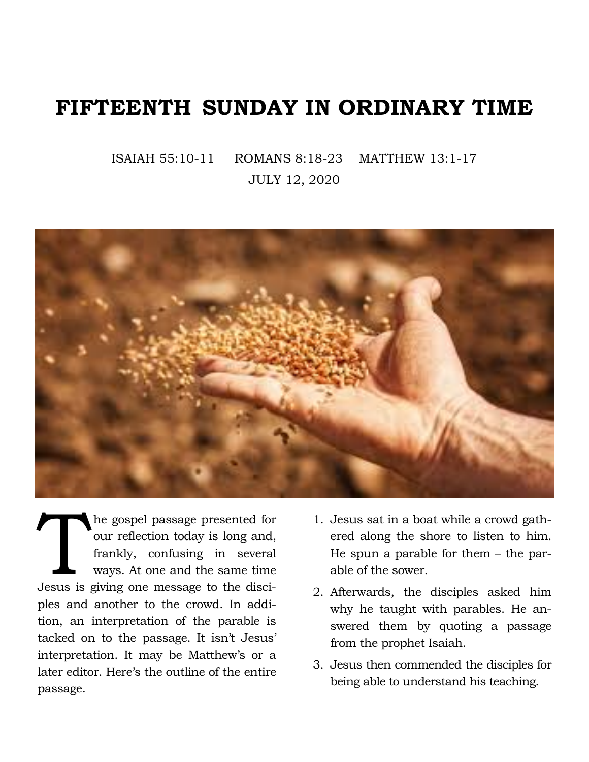## **FIFTEENTH SUNDAY IN ORDINARY TIME**

ISAIAH 55:10-11 ROMANS 8:18-23 MATTHEW 13:1-17 JULY 12, 2020



The gospel passage presented for<br>
our reflection today is long and,<br>
frankly, confusing in several<br>
ways. At one and the same time<br>
Jesus is giving one message to the disciour reflection today is long and, frankly, confusing in several ways. At one and the same time ples and another to the crowd. In addition, an interpretation of the parable is tacked on to the passage. It isn't Jesus' interpretation. It may be Matthew's or a later editor. Here's the outline of the entire passage.

- 1. Jesus sat in a boat while a crowd gathered along the shore to listen to him. He spun a parable for them – the parable of the sower.
- 2. Afterwards, the disciples asked him why he taught with parables. He answered them by quoting a passage from the prophet Isaiah.
- 3. Jesus then commended the disciples for being able to understand his teaching.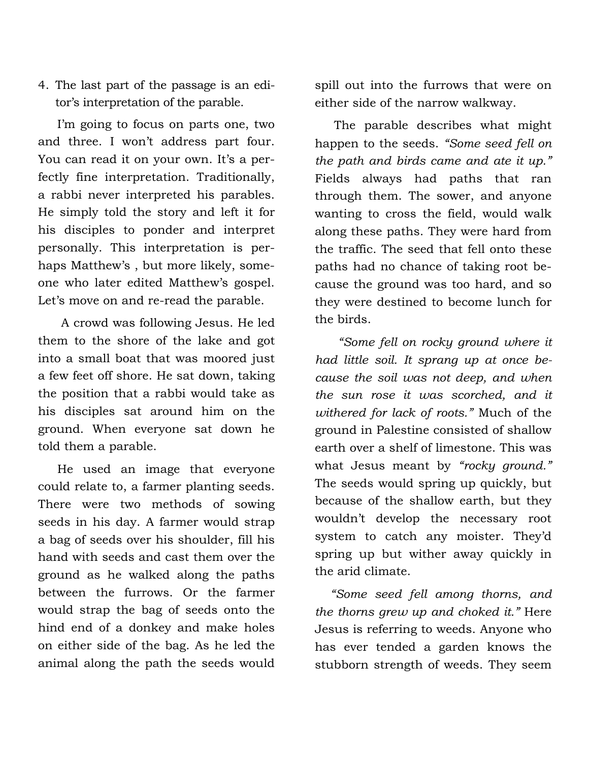4. The last part of the passage is an editor's interpretation of the parable.

 I'm going to focus on parts one, two and three. I won't address part four. You can read it on your own. It's a perfectly fine interpretation. Traditionally, a rabbi never interpreted his parables. He simply told the story and left it for his disciples to ponder and interpret personally. This interpretation is perhaps Matthew's , but more likely, someone who later edited Matthew's gospel. Let's move on and re-read the parable.

 A crowd was following Jesus. He led them to the shore of the lake and got into a small boat that was moored just a few feet off shore. He sat down, taking the position that a rabbi would take as his disciples sat around him on the ground. When everyone sat down he told them a parable.

 He used an image that everyone could relate to, a farmer planting seeds. There were two methods of sowing seeds in his day. A farmer would strap a bag of seeds over his shoulder, fill his hand with seeds and cast them over the ground as he walked along the paths between the furrows. Or the farmer would strap the bag of seeds onto the hind end of a donkey and make holes on either side of the bag. As he led the animal along the path the seeds would

spill out into the furrows that were on either side of the narrow walkway.

 The parable describes what might happen to the seeds. *"Some seed fell on the path and birds came and ate it up."* Fields always had paths that ran through them. The sower, and anyone wanting to cross the field, would walk along these paths. They were hard from the traffic. The seed that fell onto these paths had no chance of taking root because the ground was too hard, and so they were destined to become lunch for the birds.

 *"Some fell on rocky ground where it had little soil. It sprang up at once because the soil was not deep, and when the sun rose it was scorched, and it withered for lack of roots."* Much of the ground in Palestine consisted of shallow earth over a shelf of limestone. This was what Jesus meant by *"rocky ground."* The seeds would spring up quickly, but because of the shallow earth, but they wouldn't develop the necessary root system to catch any moister. They'd spring up but wither away quickly in the arid climate.

 *"Some seed fell among thorns, and the thorns grew up and choked it."* Here Jesus is referring to weeds. Anyone who has ever tended a garden knows the stubborn strength of weeds. They seem